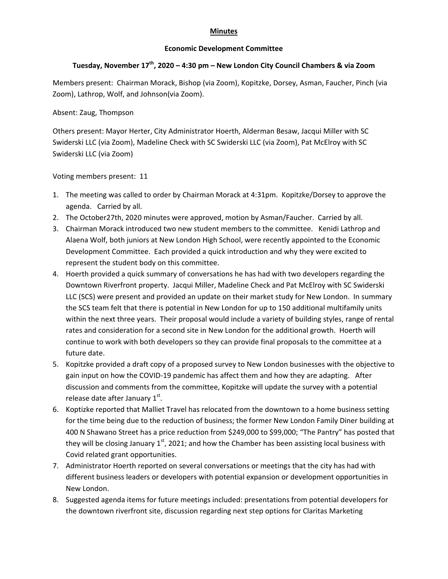## **Minutes**

## **Economic Development Committee**

## **Tuesday, November 17th, 2020 – 4:30 pm – New London City Council Chambers & via Zoom**

Members present: Chairman Morack, Bishop (via Zoom), Kopitzke, Dorsey, Asman, Faucher, Pinch (via Zoom), Lathrop, Wolf, and Johnson(via Zoom).

## Absent: Zaug, Thompson

Others present: Mayor Herter, City Administrator Hoerth, Alderman Besaw, Jacqui Miller with SC Swiderski LLC (via Zoom), Madeline Check with SC Swiderski LLC (via Zoom), Pat McElroy with SC Swiderski LLC (via Zoom)

Voting members present: 11

- 1. The meeting was called to order by Chairman Morack at 4:31pm. Kopitzke/Dorsey to approve the agenda. Carried by all.
- 2. The October27th, 2020 minutes were approved, motion by Asman/Faucher. Carried by all.
- 3. Chairman Morack introduced two new student members to the committee. Kenidi Lathrop and Alaena Wolf, both juniors at New London High School, were recently appointed to the Economic Development Committee. Each provided a quick introduction and why they were excited to represent the student body on this committee.
- 4. Hoerth provided a quick summary of conversations he has had with two developers regarding the Downtown Riverfront property. Jacqui Miller, Madeline Check and Pat McElroy with SC Swiderski LLC (SCS) were present and provided an update on their market study for New London. In summary the SCS team felt that there is potential in New London for up to 150 additional multifamily units within the next three years. Their proposal would include a variety of building styles, range of rental rates and consideration for a second site in New London for the additional growth. Hoerth will continue to work with both developers so they can provide final proposals to the committee at a future date.
- 5. Kopitzke provided a draft copy of a proposed survey to New London businesses with the objective to gain input on how the COVID‐19 pandemic has affect them and how they are adapting. After discussion and comments from the committee, Kopitzke will update the survey with a potential release date after January  $1<sup>st</sup>$ .
- 6. Koptizke reported that Malliet Travel has relocated from the downtown to a home business setting for the time being due to the reduction of business; the former New London Family Diner building at 400 N Shawano Street has a price reduction from \$249,000 to \$99,000; "The Pantry" has posted that they will be closing January 1<sup>st</sup>, 2021; and how the Chamber has been assisting local business with Covid related grant opportunities.
- 7. Administrator Hoerth reported on several conversations or meetings that the city has had with different business leaders or developers with potential expansion or development opportunities in New London.
- 8. Suggested agenda items for future meetings included: presentations from potential developers for the downtown riverfront site, discussion regarding next step options for Claritas Marketing